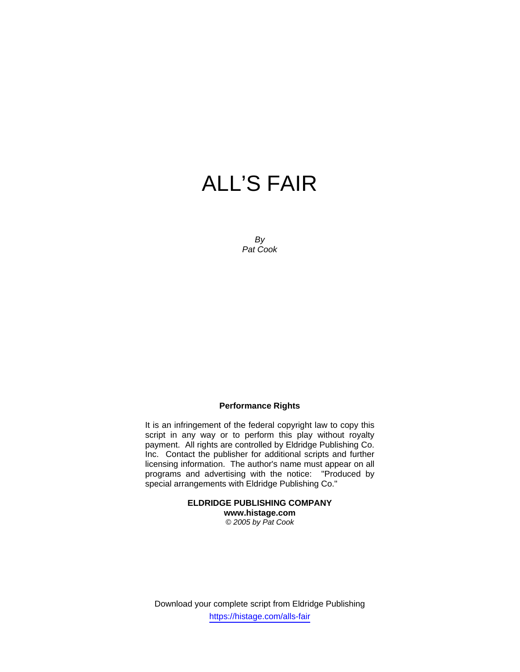# ALL'S FAIR

*By Pat Cook* 

## **Performance Rights**

It is an infringement of the federal copyright law to copy this script in any way or to perform this play without royalty payment. All rights are controlled by Eldridge Publishing Co. Inc. Contact the publisher for additional scripts and further licensing information. The author's name must appear on all programs and advertising with the notice: "Produced by special arrangements with Eldridge Publishing Co."

## **ELDRIDGE PUBLISHING COMPANY www.histage.com**

*© 2005 by Pat Cook*

Download your complete script from Eldridge Publishing https://histage.com/alls-fair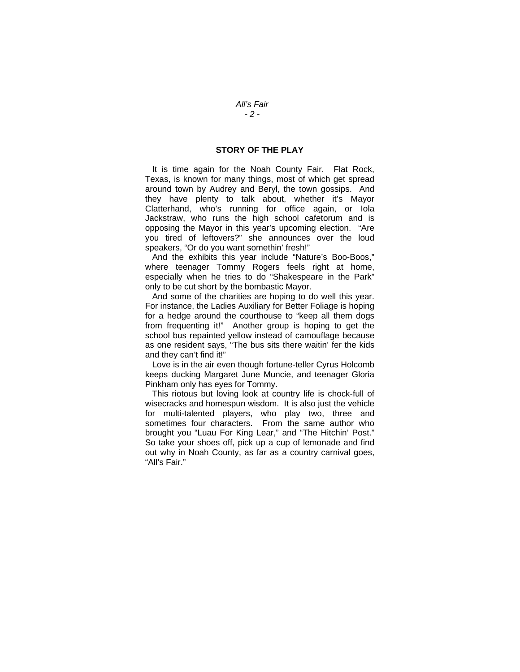## **STORY OF THE PLAY**

 It is time again for the Noah County Fair. Flat Rock, Texas, is known for many things, most of which get spread around town by Audrey and Beryl, the town gossips. And they have plenty to talk about, whether it's Mayor Clatterhand, who's running for office again, or Iola Jackstraw, who runs the high school cafetorum and is opposing the Mayor in this year's upcoming election. "Are you tired of leftovers?" she announces over the loud speakers, "Or do you want somethin' fresh!"

 And the exhibits this year include "Nature's Boo-Boos," where teenager Tommy Rogers feels right at home, especially when he tries to do "Shakespeare in the Park" only to be cut short by the bombastic Mayor.

 And some of the charities are hoping to do well this year. For instance, the Ladies Auxiliary for Better Foliage is hoping for a hedge around the courthouse to "keep all them dogs from frequenting it!" Another group is hoping to get the school bus repainted yellow instead of camouflage because as one resident says, "The bus sits there waitin' fer the kids and they can't find it!"

 Love is in the air even though fortune-teller Cyrus Holcomb keeps ducking Margaret June Muncie, and teenager Gloria Pinkham only has eyes for Tommy.

 This riotous but loving look at country life is chock-full of wisecracks and homespun wisdom. It is also just the vehicle for multi-talented players, who play two, three and sometimes four characters. From the same author who brought you "Luau For King Lear," and "The Hitchin' Post." So take your shoes off, pick up a cup of lemonade and find out why in Noah County, as far as a country carnival goes, "All's Fair."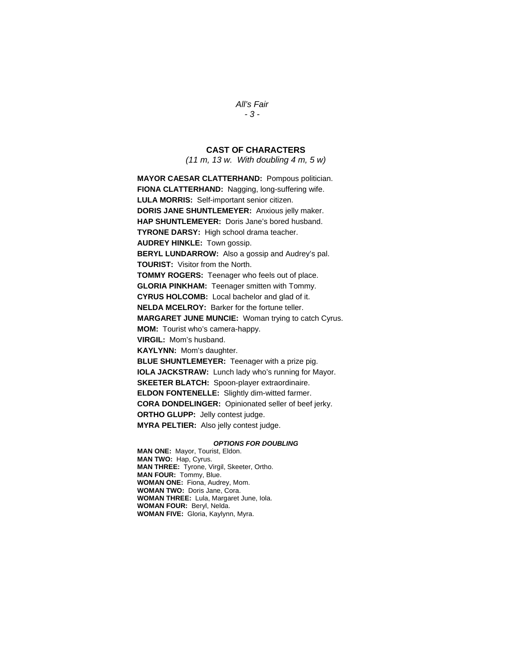## *All's Fair*

## *- 3 -*

## **CAST OF CHARACTERS**

*(11 m, 13 w. With doubling 4 m, 5 w)* 

**MAYOR CAESAR CLATTERHAND:** Pompous politician. **FIONA CLATTERHAND:** Nagging, long-suffering wife. **LULA MORRIS:** Self-important senior citizen. **DORIS JANE SHUNTLEMEYER:** Anxious jelly maker. **HAP SHUNTLEMEYER:** Doris Jane's bored husband. **TYRONE DARSY:** High school drama teacher. **AUDREY HINKLE:** Town gossip. **BERYL LUNDARROW:** Also a gossip and Audrey's pal. **TOURIST:** Visitor from the North. **TOMMY ROGERS:** Teenager who feels out of place. **GLORIA PINKHAM:** Teenager smitten with Tommy. **CYRUS HOLCOMB:** Local bachelor and glad of it. **NELDA MCELROY:** Barker for the fortune teller. **MARGARET JUNE MUNCIE:** Woman trying to catch Cyrus. **MOM:** Tourist who's camera-happy. **VIRGIL:** Mom's husband. **KAYLYNN:** Mom's daughter. **BLUE SHUNTLEMEYER:** Teenager with a prize pig. **IOLA JACKSTRAW:** Lunch lady who's running for Mayor. **SKEETER BLATCH:** Spoon-player extraordinaire. **ELDON FONTENELLE:** Slightly dim-witted farmer. **CORA DONDELINGER:** Opinionated seller of beef jerky. **ORTHO GLUPP:** Jelly contest judge. **MYRA PELTIER:** Also jelly contest judge.

#### *OPTIONS FOR DOUBLING*

**MAN ONE:** Mayor, Tourist, Eldon. **MAN TWO:** Hap, Cyrus. **MAN THREE:** Tyrone, Virgil, Skeeter, Ortho. **MAN FOUR:** Tommy, Blue. **WOMAN ONE:** Fiona, Audrey, Mom. **WOMAN TWO:** Doris Jane, Cora. **WOMAN THREE:** Lula, Margaret June, Iola. **WOMAN FOUR:** Beryl, Nelda. **WOMAN FIVE:** Gloria, Kaylynn, Myra.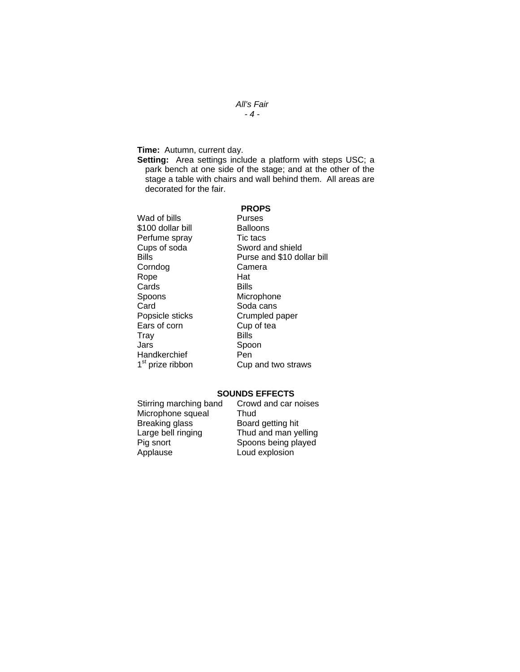## *All's Fair - 4 -*

**Time:** Autumn, current day.

**Setting:** Area settings include a platform with steps USC; a park bench at one side of the stage; and at the other of the stage a table with chairs and wall behind them. All areas are decorated for the fair.

## **PROPS**

| Wad of bills                 | Purses                     |
|------------------------------|----------------------------|
| \$100 dollar bill            | Balloons                   |
| Perfume spray                | Tic tacs                   |
| Cups of soda                 | Sword and shield           |
| Bills                        | Purse and \$10 dollar bill |
| Corndog                      | Camera                     |
| Rope                         | Hat                        |
| Cards                        | Bills                      |
| Spoons                       | Microphone                 |
| Card                         | Soda cans                  |
| Popsicle sticks              | Crumpled paper             |
| Ears of corn                 | Cup of tea                 |
| Trav                         | Bills                      |
| Jars                         | Spoon                      |
| Handkerchief                 | Pen                        |
| 1 <sup>st</sup> prize ribbon | Cup and two straws         |

## **SOUNDS EFFECTS**

| Stirring marching band | Crowd and car noises |
|------------------------|----------------------|
| Microphone squeal      | Thud                 |
| Breaking glass         | Board getting hit    |
| Large bell ringing     | Thud and man yelling |
| Pig snort              | Spoons being played  |
| Applause               | Loud explosion       |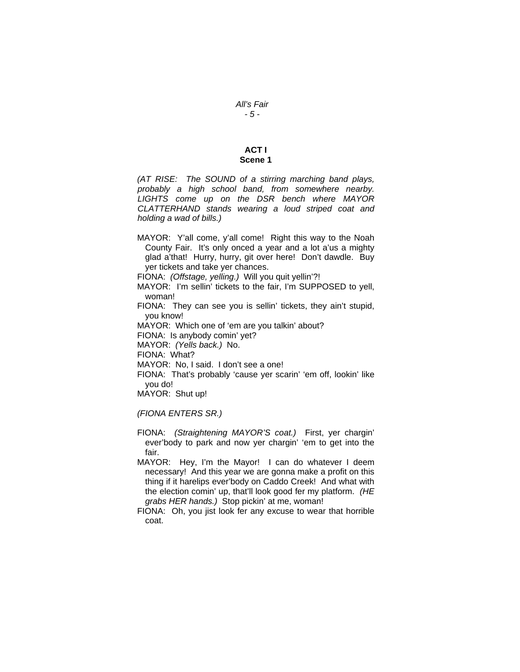## **ACT I Scene 1**

*(AT RISE: The SOUND of a stirring marching band plays, probably a high school band, from somewhere nearby. LIGHTS come up on the DSR bench where MAYOR CLATTERHAND stands wearing a loud striped coat and holding a wad of bills.)* 

MAYOR: Y'all come, y'all come! Right this way to the Noah County Fair. It's only onced a year and a lot a'us a mighty glad a'that! Hurry, hurry, git over here! Don't dawdle. Buy yer tickets and take yer chances.

FIONA: *(Offstage, yelling.)* Will you quit yellin'?!

- MAYOR: I'm sellin' tickets to the fair, I'm SUPPOSED to yell, woman!
- FIONA: They can see you is sellin' tickets, they ain't stupid, you know!

MAYOR: Which one of 'em are you talkin' about?

FIONA: Is anybody comin' yet?

MAYOR: *(Yells back.)* No.

FIONA: What?

MAYOR: No, I said. I don't see a one!

FIONA: That's probably 'cause yer scarin' 'em off, lookin' like you do!

MAYOR: Shut up!

*(FIONA ENTERS SR.)* 

- FIONA: *(Straightening MAYOR'S coat.)* First, yer chargin' ever'body to park and now yer chargin' 'em to get into the fair.
- MAYOR: Hey, I'm the Mayor! I can do whatever I deem necessary! And this year we are gonna make a profit on this thing if it harelips ever'body on Caddo Creek! And what with the election comin' up, that'll look good fer my platform. *(HE grabs HER hands.)* Stop pickin' at me, woman!
- FIONA: Oh, you jist look fer any excuse to wear that horrible coat.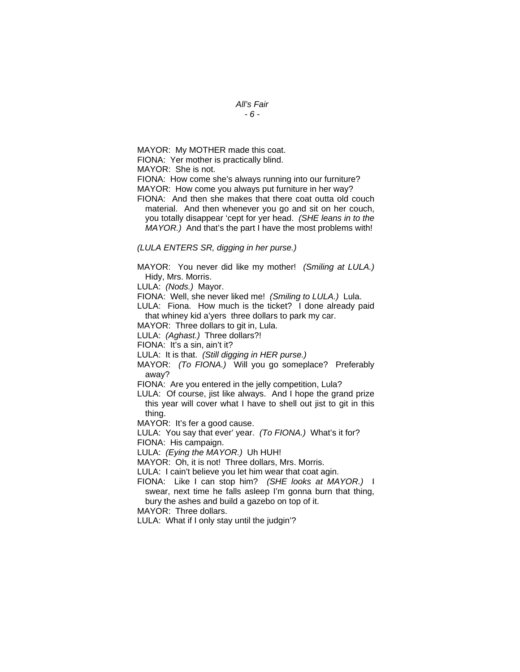*All's Fair* 

*- 6 -* 

MAYOR: My MOTHER made this coat.

FIONA: Yer mother is practically blind.

MAYOR: She is not.

FIONA: How come she's always running into our furniture?

MAYOR: How come you always put furniture in her way?

FIONA: And then she makes that there coat outta old couch material. And then whenever you go and sit on her couch, you totally disappear 'cept for yer head. *(SHE leans in to the MAYOR.)* And that's the part I have the most problems with!

## *(LULA ENTERS SR, digging in her purse.)*

MAYOR: You never did like my mother! *(Smiling at LULA.)*  Hidy, Mrs. Morris.

LULA: *(Nods.)* Mayor.

FIONA: Well, she never liked me! *(Smiling to LULA.)* Lula.

LULA: Fiona. How much is the ticket? I done already paid that whiney kid a'yers three dollars to park my car.

MAYOR: Three dollars to git in, Lula.

LULA: *(Aghast.)* Three dollars?!

FIONA: It's a sin, ain't it?

LULA: It is that. *(Still digging in HER purse.)* 

MAYOR: *(To FIONA.)* Will you go someplace? Preferably away?

FIONA: Are you entered in the jelly competition, Lula?

LULA: Of course, jist like always. And I hope the grand prize this year will cover what I have to shell out jist to git in this thing.

MAYOR: It's fer a good cause.

LULA: You say that ever' year. *(To FIONA.)* What's it for? FIONA: His campaign.

LULA: *(Eying the MAYOR.)* Uh HUH!

MAYOR: Oh, it is not! Three dollars, Mrs. Morris.

LULA: I cain't believe you let him wear that coat agin.

FIONA: Like I can stop him? *(SHE looks at MAYOR.)* I swear, next time he falls asleep I'm gonna burn that thing, bury the ashes and build a gazebo on top of it.

MAYOR: Three dollars.

LULA: What if I only stay until the judgin'?